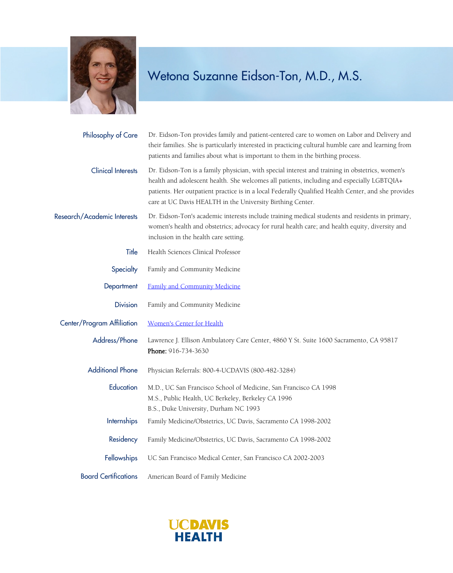

| Philosophy of Care          | Dr. Eidson-Ton provides family and patient-centered care to women on Labor and Delivery and<br>their families. She is particularly interested in practicing cultural humble care and learning from<br>patients and families about what is important to them in the birthing process.                                                                               |
|-----------------------------|--------------------------------------------------------------------------------------------------------------------------------------------------------------------------------------------------------------------------------------------------------------------------------------------------------------------------------------------------------------------|
| <b>Clinical Interests</b>   | Dr. Eidson-Ton is a family physician, with special interest and training in obstetrics, women's<br>health and adolescent health. She welcomes all patients, including and especially LGBTQIA+<br>patients. Her outpatient practice is in a local Federally Qualified Health Center, and she provides<br>care at UC Davis HEALTH in the University Birthing Center. |
| Research/Academic Interests | Dr. Eidson-Ton's academic interests include training medical students and residents in primary,<br>women's health and obstetrics; advocacy for rural health care; and health equity, diversity and<br>inclusion in the health care setting.                                                                                                                        |
| Title                       | Health Sciences Clinical Professor                                                                                                                                                                                                                                                                                                                                 |
| Specialty                   | Family and Community Medicine                                                                                                                                                                                                                                                                                                                                      |
| Department                  | Family and Community Medicine                                                                                                                                                                                                                                                                                                                                      |
| <b>Division</b>             | Family and Community Medicine                                                                                                                                                                                                                                                                                                                                      |
| Center/Program Affiliation  | Women's Center for Health                                                                                                                                                                                                                                                                                                                                          |
| Address/Phone               | Lawrence J. Ellison Ambulatory Care Center, 4860 Y St. Suite 1600 Sacramento, CA 95817<br>Phone: 916-734-3630                                                                                                                                                                                                                                                      |
| <b>Additional Phone</b>     | Physician Referrals: 800-4-UCDAVIS (800-482-3284)                                                                                                                                                                                                                                                                                                                  |
| Education                   | M.D., UC San Francisco School of Medicine, San Francisco CA 1998<br>M.S., Public Health, UC Berkeley, Berkeley CA 1996<br>B.S., Duke University, Durham NC 1993                                                                                                                                                                                                    |
| Internships                 | Family Medicine/Obstetrics, UC Davis, Sacramento CA 1998-2002                                                                                                                                                                                                                                                                                                      |
| Residency                   | Family Medicine/Obstetrics, UC Davis, Sacramento CA 1998-2002                                                                                                                                                                                                                                                                                                      |
| <b>Fellowships</b>          | UC San Francisco Medical Center, San Francisco CA 2002-2003                                                                                                                                                                                                                                                                                                        |
| <b>Board Certifications</b> | American Board of Family Medicine                                                                                                                                                                                                                                                                                                                                  |

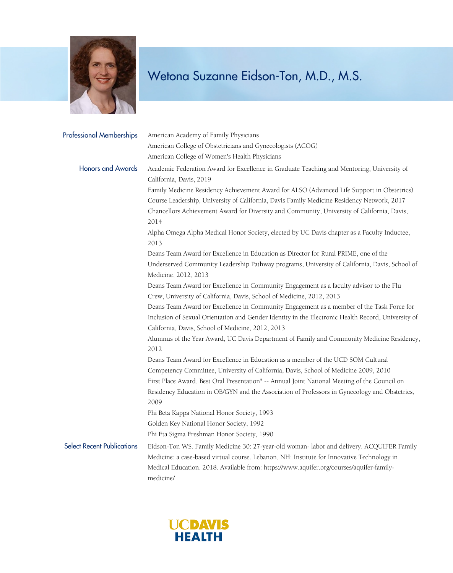

| <b>Professional Memberships</b>   | American Academy of Family Physicians<br>American College of Obstetricians and Gynecologists (ACOG)<br>American College of Women's Health Physicians                                                                                                                                                                                                                                                             |
|-----------------------------------|------------------------------------------------------------------------------------------------------------------------------------------------------------------------------------------------------------------------------------------------------------------------------------------------------------------------------------------------------------------------------------------------------------------|
| <b>Honors and Awards</b>          | Academic Federation Award for Excellence in Graduate Teaching and Mentoring, University of<br>California, Davis, 2019<br>Family Medicine Residency Achievement Award for ALSO (Advanced Life Support in Obstetrics)<br>Course Leadership, University of California, Davis Family Medicine Residency Network, 2017<br>Chancellors Achievement Award for Diversity and Community, University of California, Davis, |
|                                   | 2014<br>Alpha Omega Alpha Medical Honor Society, elected by UC Davis chapter as a Faculty Inductee,<br>2013                                                                                                                                                                                                                                                                                                      |
|                                   | Deans Team Award for Excellence in Education as Director for Rural PRIME, one of the<br>Underserved Community Leadership Pathway programs, University of California, Davis, School of<br>Medicine, 2012, 2013                                                                                                                                                                                                    |
|                                   | Deans Team Award for Excellence in Community Engagement as a faculty advisor to the Flu<br>Crew, University of California, Davis, School of Medicine, 2012, 2013                                                                                                                                                                                                                                                 |
|                                   | Deans Team Award for Excellence in Community Engagement as a member of the Task Force for<br>Inclusion of Sexual Orientation and Gender Identity in the Electronic Health Record, University of<br>California, Davis, School of Medicine, 2012, 2013                                                                                                                                                             |
|                                   | Alumnus of the Year Award, UC Davis Department of Family and Community Medicine Residency,<br>2012                                                                                                                                                                                                                                                                                                               |
|                                   | Deans Team Award for Excellence in Education as a member of the UCD SOM Cultural<br>Competency Committee, University of California, Davis, School of Medicine 2009, 2010<br>First Place Award, Best Oral Presentation" -- Annual Joint National Meeting of the Council on<br>Residency Education in OB/GYN and the Association of Professors in Gynecology and Obstetrics,<br>2009                               |
|                                   | Phi Beta Kappa National Honor Society, 1993<br>Golden Key National Honor Society, 1992<br>Phi Eta Sigma Freshman Honor Society, 1990                                                                                                                                                                                                                                                                             |
| <b>Select Recent Publications</b> | Eidson-Ton WS. Family Medicine 30: 27-year-old woman- labor and delivery. ACQUIFER Family<br>Medicine: a case-based virtual course. Lebanon, NH: Institute for Innovative Technology in<br>Medical Education. 2018. Available from: https://www.aquifer.org/courses/aquifer-family-<br>medicine/                                                                                                                 |

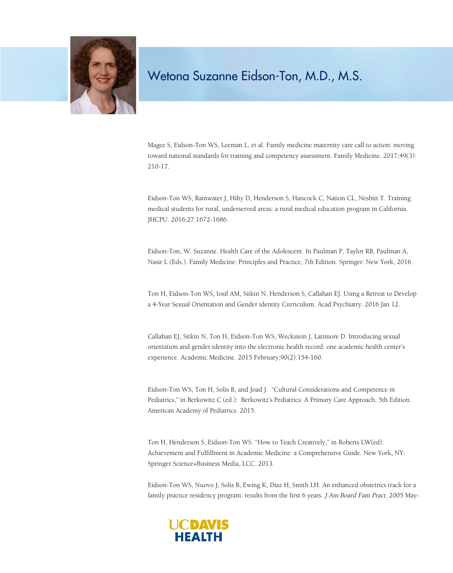

Magee S, Eidson-Ton WS, Leeman L, et al. Family medicine maternity care call to action: moving toward national standards for training and competency assessment. Family Medicine. 2017;49(3): 210-17.

Eidson-Ton WS, Rainwater J, Hilty D, Henderson S, Hancock C, Nation CL, Nesbitt T. Training medical students for rural, underserved areas: a rural medical education program in California. JHCPU. 2016;27:1672-1686.

Eidson-Ton, W. Suzanne. Health Care of the Adolescent. In Paulman P, Taylor RB, Paulman A, Nasir L (Eds.). Family Medicine: Principles and Practice, 7th Edition. Springer: New York, 2016.

Ton H, Eidson-Ton WS, Iosif AM, Sitkin N, Henderson S, Callahan EJ. Using a Retreat to Develop a 4-Year Sexual Orientation and Gender identity Curriculum. Acad Psychiatry. 2016 Jan 12.

Callahan EJ, Sitkin N, Ton H, Eidson-Ton WS, Weckstein J, Latimore D. Introducing sexual orientation and gender identity into the electronic health record: one academic health center's experience. Academic Medicine. 2015 February;90(2):154-160.

Eidson-Ton WS, Ton H, Solis B, and Joad J. "Cultural Considerations and Competence in Pediatrics," in Berkowitz C (ed.): Berkowitz's Pediatrics: A Primary Care Approach, 5th Edition. American Academy of Pediatrics. 2015.

Ton H, Henderson S, Eidson-Ton WS. "How to Teach Creatively," in Roberts LW(ed): Achievement and Fulfillment in Academic Medicine: a Comprehensive Guide. New York, NY: Springer Science+Business Media, LCC. 2013.

Eidson-Ton WS, Nuovo J, Solis B, Ewing K, Diaz H, Smith LH. An enhanced obstetrics track for a family practice residency program: results from the first 6 years. *J Am Board Fam Pract*. 2005 May-